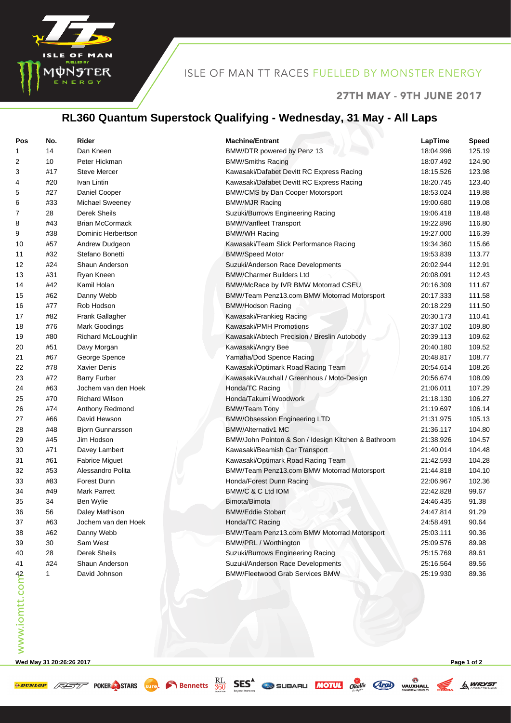

### ISLE OF MAN TT RACES FUELLED BY MONSTER ENERGY

#### 27TH MAY - 9TH JUNE 2017

A WRYST

# **RL360 Quantum Superstock Qualifying - Wednesday, 31 May - All Laps**

| Pos            | No. | Rider                   | <b>Machine/Entrant</b>                              | LapTime   | <b>Speed</b> |
|----------------|-----|-------------------------|-----------------------------------------------------|-----------|--------------|
| 1              | 14  | Dan Kneen               | BMW/DTR powered by Penz 13                          | 18:04.996 | 125.19       |
| 2              | 10  | Peter Hickman           | <b>BMW/Smiths Racing</b>                            | 18:07.492 | 124.90       |
| 3              | #17 | Steve Mercer            | Kawasaki/Dafabet Devitt RC Express Racing           | 18:15.526 | 123.98       |
| 4              | #20 | Ivan Lintin             | Kawasaki/Dafabet Devitt RC Express Racing           | 18:20.745 | 123.40       |
| 5              | #27 | Daniel Cooper           | BMW/CMS by Dan Cooper Motorsport                    | 18:53.024 | 119.88       |
| 6              | #33 | Michael Sweeney         | <b>BMW/MJR Racing</b>                               | 19:00.680 | 119.08       |
| 7              | 28  | Derek Sheils            | Suzuki/Burrows Engineering Racing                   | 19:06.418 | 118.48       |
| 8              | #43 | <b>Brian McCormack</b>  | <b>BMW/Vanfleet Transport</b>                       | 19:22.896 | 116.80       |
| 9              | #38 | Dominic Herbertson      | <b>BMW/WH Racing</b>                                | 19:27.000 | 116.39       |
| 10             | #57 | Andrew Dudgeon          | Kawasaki/Team Slick Performance Racing              | 19:34.360 | 115.66       |
| 11             | #32 | Stefano Bonetti         | <b>BMW/Speed Motor</b>                              | 19:53.839 | 113.77       |
| 12             | #24 | Shaun Anderson          | Suzuki/Anderson Race Developments                   | 20:02.944 | 112.91       |
| 13             | #31 | Ryan Kneen              | <b>BMW/Charmer Builders Ltd</b>                     | 20:08.091 | 112.43       |
| 14             | #42 | Kamil Holan             | BMW/McRace by IVR BMW Motorrad CSEU                 | 20:16.309 | 111.67       |
| 15             | #62 | Danny Webb              | BMW/Team Penz13.com BMW Motorrad Motorsport         | 20:17.333 | 111.58       |
| 16             | #77 | Rob Hodson              | <b>BMW/Hodson Racing</b>                            | 20:18.229 | 111.50       |
| 17             | #82 | Frank Gallagher         | Kawasaki/Frankieg Racing                            | 20:30.173 | 110.41       |
| 18             | #76 | <b>Mark Goodings</b>    | Kawasaki/PMH Promotions                             | 20:37.102 | 109.80       |
| 19             | #80 | Richard McLoughlin      | Kawasaki/Abtech Precision / Breslin Autobody        | 20:39.113 | 109.62       |
| 20             | #51 | Davy Morgan             | Kawasaki/Angry Bee                                  | 20:40.180 | 109.52       |
| 21             | #67 | George Spence           | Yamaha/Dod Spence Racing                            | 20:48.817 | 108.77       |
| 22             | #78 | <b>Xavier Denis</b>     | Kawasaki/Optimark Road Racing Team                  | 20:54.614 | 108.26       |
| 23             | #72 | <b>Barry Furber</b>     | Kawasaki/Vauxhall / Greenhous / Moto-Design         | 20:56.674 | 108.09       |
| 24             | #63 | Jochem van den Hoek     | Honda/TC Racing                                     | 21:06.011 | 107.29       |
| 25             | #70 | <b>Richard Wilson</b>   | Honda/Takumi Woodwork                               | 21:18.130 | 106.27       |
| 26             | #74 | Anthony Redmond         | <b>BMW/Team Tony</b>                                | 21:19.697 | 106.14       |
| 27             | #66 | David Hewson            | <b>BMW/Obsession Engineering LTD</b>                | 21:31.975 | 105.13       |
| 28             | #48 | <b>Bjorn Gunnarsson</b> | <b>BMW/Alternativ1 MC</b>                           | 21:36.117 | 104.80       |
| 29             | #45 | Jim Hodson              | BMW/John Pointon & Son / Idesign Kitchen & Bathroom | 21:38.926 | 104.57       |
| 30             | #71 | Davey Lambert           | Kawasaki/Beamish Car Transport                      | 21:40.014 | 104.48       |
| 31             | #61 | <b>Fabrice Miguet</b>   | Kawasaki/Optimark Road Racing Team                  | 21:42.593 | 104.28       |
| 32             | #53 | Alessandro Polita       | BMW/Team Penz13.com BMW Motorrad Motorsport         | 21:44.818 | 104.10       |
| 33             | #83 | Forest Dunn             | Honda/Forest Dunn Racing                            | 22:06.967 | 102.36       |
| 34             | #49 | <b>Mark Parrett</b>     | BMW/C & C Ltd IOM                                   | 22:42.828 | 99.67        |
| 35             | 34  | Ben Wylie               | Bimota/Bimota                                       | 24:46.435 | 91.38        |
| 36             | 56  | Daley Mathison          | <b>BMW/Eddie Stobart</b>                            | 24:47.814 | 91.29        |
| 37             | #63 | Jochem van den Hoek     | Honda/TC Racing                                     | 24:58.491 | 90.64        |
| 38             | #62 | Danny Webb              | BMW/Team Penz13.com BMW Motorrad Motorsport         | 25:03.111 | 90.36        |
| 39             | 30  | Sam West                | BMW/PRL / Worthington                               | 25:09.576 | 89.98        |
| 40             | 28  | Derek Sheils            | Suzuki/Burrows Engineering Racing                   | 25:15.769 | 89.61        |
| 41             | #24 | Shaun Anderson          | Suzuki/Anderson Race Developments                   | 25:16.564 | 89.56        |
| www.iomtt.comb | 1   | David Johnson           | <b>BMW/Fleetwood Grab Services BMW</b>              | 25:19.930 | 89.36        |
|                |     |                         |                                                     |           |              |

**Wed May 31 20:26:26 2017 Page 1 of 2**

**EXECUTE AND STARS** STARS SUPPORTED BEST CONTRACTED TO BE AND VALUATED